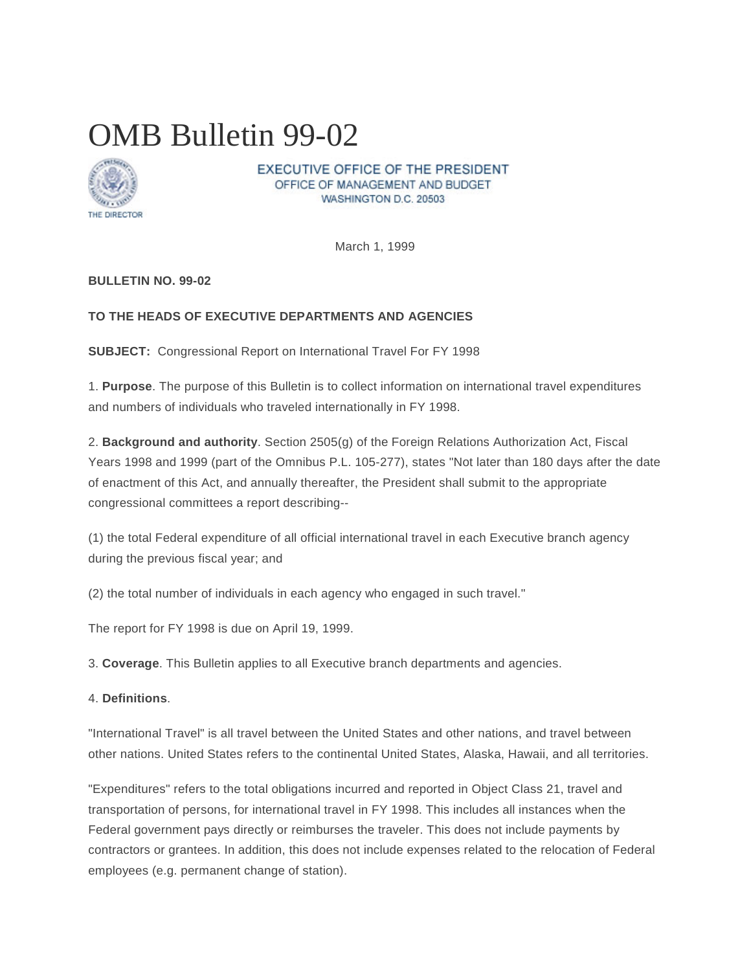# OMB Bulletin 99-02



EXECUTIVE OFFICE OF THE PRESIDENT OFFICE OF MANAGEMENT AND BUDGET WASHINGTON D.C. 20503

March 1, 1999

## **BULLETIN NO. 99-02**

## **TO THE HEADS OF EXECUTIVE DEPARTMENTS AND AGENCIES**

**SUBJECT:** Congressional Report on International Travel For FY 1998

1. **Purpose**. The purpose of this Bulletin is to collect information on international travel expenditures and numbers of individuals who traveled internationally in FY 1998.

2. **Background and authority**. Section 2505(g) of the Foreign Relations Authorization Act, Fiscal Years 1998 and 1999 (part of the Omnibus P.L. 105-277), states "Not later than 180 days after the date of enactment of this Act, and annually thereafter, the President shall submit to the appropriate congressional committees a report describing--

(1) the total Federal expenditure of all official international travel in each Executive branch agency during the previous fiscal year; and

(2) the total number of individuals in each agency who engaged in such travel."

The report for FY 1998 is due on April 19, 1999.

3. **Coverage**. This Bulletin applies to all Executive branch departments and agencies.

4. **Definitions**.

"International Travel" is all travel between the United States and other nations, and travel between other nations. United States refers to the continental United States, Alaska, Hawaii, and all territories.

"Expenditures" refers to the total obligations incurred and reported in Object Class 21, travel and transportation of persons, for international travel in FY 1998. This includes all instances when the Federal government pays directly or reimburses the traveler. This does not include payments by contractors or grantees. In addition, this does not include expenses related to the relocation of Federal employees (e.g. permanent change of station).